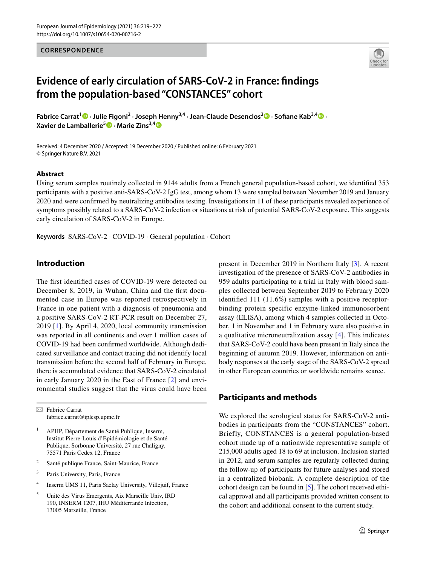### **CORRESPONDENCE**



# **Evidence of early circulation of SARS‑CoV‑2 in France: fndings from the population‑based "CONSTANCES" cohort**

**Fabrice Carrat<sup>1</sup> · Julie Figoni2 · Joseph Henny3,4 · Jean‑Claude Desenclos2 · Sofane Kab3,4 · Xavier de Lamballerie<sup>5</sup>  [·](http://orcid.org/0000-0001-7895-2720) Marie Zins3,[4](http://orcid.org/0000-0002-4540-4282)**

Received: 4 December 2020 / Accepted: 19 December 2020 / Published online: 6 February 2021 © Springer Nature B.V. 2021

### **Abstract**

Using serum samples routinely collected in 9144 adults from a French general population-based cohort, we identifed 353 participants with a positive anti-SARS-CoV-2 IgG test, among whom 13 were sampled between November 2019 and January 2020 and were confrmed by neutralizing antibodies testing. Investigations in 11 of these participants revealed experience of symptoms possibly related to a SARS-CoV-2 infection or situations at risk of potential SARS-CoV-2 exposure. This suggests early circulation of SARS-CoV-2 in Europe.

**Keywords** SARS-CoV-2 · COVID-19 · General population · Cohort

## **Introduction**

The frst identifed cases of COVID-19 were detected on December 8, 2019, in Wuhan, China and the frst documented case in Europe was reported retrospectively in France in one patient with a diagnosis of pneumonia and a positive SARS-CoV-2 RT-PCR result on December 27, 2019 [\[1\]](#page-3-0). By April 4, 2020, local community transmission was reported in all continents and over 1 million cases of COVID-19 had been confrmed worldwide. Although dedicated surveillance and contact tracing did not identify local transmission before the second half of February in Europe, there is accumulated evidence that SARS-CoV-2 circulated in early January 2020 in the East of France [[2\]](#page-3-1) and environmental studies suggest that the virus could have been

 $\boxtimes$  Fabrice Carrat fabrice.carrat@iplesp.upmc.fr

- <sup>1</sup> APHP, Département de Santé Publique, Inserm, Institut Pierre-Louis d'Epidémiologie et de Santé Publique, Sorbonne Université, 27 rue Chaligny, 75571 Paris Cedex 12, France
- <sup>2</sup> Santé publique France, Saint-Maurice, France
- <sup>3</sup> Paris University, Paris, France
- <sup>4</sup> Inserm UMS 11, Paris Saclay University, Villejuif, France
- <sup>5</sup> Unité des Virus Emergents, Aix Marseille Univ, IRD 190, INSERM 1207, IHU Méditerranée Infection, 13005 Marseille, France

present in December 2019 in Northern Italy [[3\]](#page-3-2). A recent investigation of the presence of SARS-CoV-2 antibodies in 959 adults participating to a trial in Italy with blood samples collected between September 2019 to February 2020 identifed 111 (11.6%) samples with a positive receptorbinding protein specific enzyme-linked immunosorbent assay (ELISA), among which 4 samples collected in October, 1 in November and 1 in February were also positive in a qualitative microneutralization assay [\[4](#page-3-3)]. This indicates that SARS-CoV-2 could have been present in Italy since the beginning of autumn 2019. However, information on antibody responses at the early stage of the SARS-CoV-2 spread in other European countries or worldwide remains scarce.

## **Participants and methods**

We explored the serological status for SARS-CoV-2 antibodies in participants from the "CONSTANCES" cohort. Briefly, CONSTANCES is a general population-based cohort made up of a nationwide representative sample of 215,000 adults aged 18 to 69 at inclusion. Inclusion started in 2012, and serum samples are regularly collected during the follow-up of participants for future analyses and stored in a centralized biobank. A complete description of the cohort design can be found in [\[5](#page-3-4)]. The cohort received ethical approval and all participants provided written consent to the cohort and additional consent to the current study.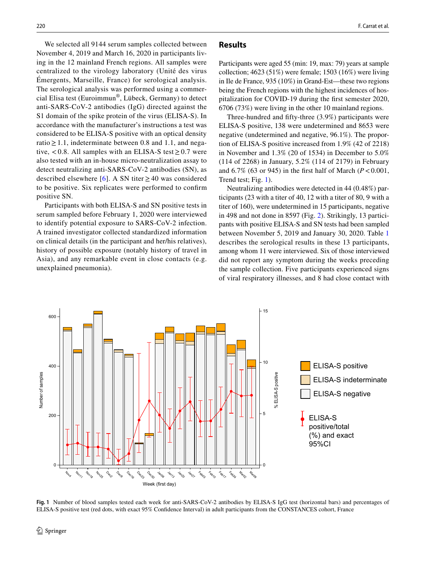We selected all 9144 serum samples collected between November 4, 2019 and March 16, 2020 in participants living in the 12 mainland French regions. All samples were centralized to the virology laboratory (Unité des virus Émergents, Marseille, France) for serological analysis. The serological analysis was performed using a commercial Elisa test (Euroimmun®, Lübeck, Germany) to detect anti-SARS-CoV-2 antibodies (IgG) directed against the S1 domain of the spike protein of the virus (ELISA-S). In accordance with the manufacturer's instructions a test was considered to be ELISA-S positive with an optical density ratio  $\geq 1.1$ , indeterminate between 0.8 and 1.1, and negative, <0.8. All samples with an ELISA-S test  $\geq$  0.7 were also tested with an in-house micro-neutralization assay to detect neutralizing anti-SARS-CoV-2 antibodies (SN), as described elsewhere [[6](#page-3-5)]. A SN titer ≥40 was considered to be positive. Six replicates were performed to confrm positive SN.

Participants with both ELISA-S and SN positive tests in serum sampled before February 1, 2020 were interviewed to identify potential exposure to SARS-CoV-2 infection. A trained investigator collected standardized information on clinical details (in the participant and her/his relatives), history of possible exposure (notably history of travel in Asia), and any remarkable event in close contacts (e.g. unexplained pneumonia).

### **Results**

Participants were aged 55 (min: 19, max: 79) years at sample collection; 4623 (51%) were female; 1503 (16%) were living in Ile de France, 935 (10%) in Grand-Est—these two regions being the French regions with the highest incidences of hospitalization for COVID-19 during the frst semester 2020, 6706 (73%) were living in the other 10 mainland regions.

Three-hundred and ffty-three (3.9%) participants were ELISA-S positive, 138 were undetermined and 8653 were negative (undetermined and negative, 96.1%). The proportion of ELISA-S positive increased from 1.9% (42 of 2218) in November and 1.3% (20 of 1534) in December to 5.0% (114 of 2268) in January, 5.2% (114 of 2179) in February and  $6.7\%$  (63 or 945) in the first half of March ( $P < 0.001$ , Trend test; Fig. [1](#page-1-0)).

Neutralizing antibodies were detected in 44 (0.48%) participants (23 with a titer of 40, 12 with a titer of 80, 9 with a titer of 160), were undetermined in 15 participants, negative in 498 and not done in 8597 (Fig. [2\)](#page-2-0). Strikingly, 13 participants with positive ELISA-S and SN tests had been sampled between November 5, 2019 and January 30, 2020. Table [1](#page-2-1) describes the serological results in these 13 participants, among whom 11 were interviewed. Six of those interviewed did not report any symptom during the weeks preceding the sample collection. Five participants experienced signs of viral respiratory illnesses, and 8 had close contact with



<span id="page-1-0"></span>**Fig. 1** Number of blood samples tested each week for anti-SARS-CoV-2 antibodies by ELISA-S IgG test (horizontal bars) and percentages of ELISA-S positive test (red dots, with exact 95% Confdence Interval) in adult participants from the CONSTANCES cohort, France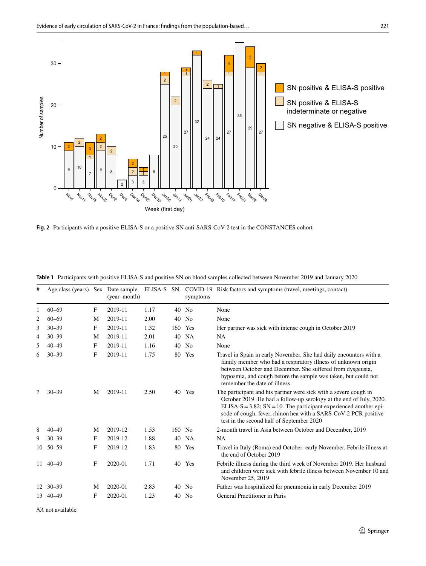

<span id="page-2-0"></span>**Fig. 2** Participants with a positive ELISA-S or a positive SN anti-SARS-CoV-2 test in the CONSTANCES cohort

| #  | Age class (years) Sex Date sample |   | (year-month) | ELISA-S SN |        | symptoms       | COVID-19 Risk factors and symptoms (travel, meetings, contact)                                                                                                                                                                                                                                                                  |
|----|-----------------------------------|---|--------------|------------|--------|----------------|---------------------------------------------------------------------------------------------------------------------------------------------------------------------------------------------------------------------------------------------------------------------------------------------------------------------------------|
| 1  | $60 - 69$                         | F | 2019-11      | 1.17       |        | $40$ No        | None                                                                                                                                                                                                                                                                                                                            |
| 2  | $60 - 69$                         | M | 2019-11      | 2.00       | 40     | N <sub>0</sub> | None                                                                                                                                                                                                                                                                                                                            |
| 3  | $30 - 39$                         | F | 2019-11      | 1.32       | 160    | Yes            | Her partner was sick with intense cough in October 2019                                                                                                                                                                                                                                                                         |
| 4  | $30 - 39$                         | M | 2019-11      | 2.01       |        | 40 NA          | NA.                                                                                                                                                                                                                                                                                                                             |
| 5  | $40 - 49$                         | F | 2019-11      | 1.16       |        | 40 No          | None                                                                                                                                                                                                                                                                                                                            |
| 6  | $30 - 39$                         | F | 2019-11      | 1.75       |        | 80 Yes         | Travel in Spain in early November. She had daily encounters with a<br>family member who had a respiratory illness of unknown origin<br>between October and December. She suffered from dysgeusia,<br>hyposmia, and cough before the sample was taken, but could not<br>remember the date of illness                             |
| 7  | $30 - 39$                         | M | 2019-11      | 2.50       |        | 40 Yes         | The participant and his partner were sick with a severe cough in<br>October 2019. He had a follow-up serology at the end of July, 2020.<br>ELISA-S = $3.82$ ; SN = 10. The participant experienced another epi-<br>sode of cough, fever, rhinorrhea with a SARS-CoV-2 PCR positive<br>test in the second half of September 2020 |
| 8  | $40 - 49$                         | M | 2019-12      | 1.53       | 160 No |                | 2-month travel in Asia between October and December, 2019                                                                                                                                                                                                                                                                       |
| 9  | $30 - 39$                         | F | 2019-12      | 1.88       |        | 40 NA          | <b>NA</b>                                                                                                                                                                                                                                                                                                                       |
| 10 | $50 - 59$                         | F | 2019-12      | 1.83       | 80     | Yes            | Travel in Italy (Roma) end October-early November. Febrile illness at<br>the end of October 2019                                                                                                                                                                                                                                |
|    | 11 40 - 49                        | F | 2020-01      | 1.71       |        | 40 Yes         | Febrile illness during the third week of November 2019. Her husband<br>and children were sick with febrile illness between November 10 and<br>November 25, 2019                                                                                                                                                                 |
|    | $12 \quad 30 - 39$                | M | 2020-01      | 2.83       |        | 40 No          | Father was hospitalized for pneumonia in early December 2019                                                                                                                                                                                                                                                                    |
|    | 13 40 - 49                        | F | 2020-01      | 1.23       | 40     | N <sub>0</sub> | General Practitioner in Paris                                                                                                                                                                                                                                                                                                   |

<span id="page-2-1"></span>**Table 1** Participants with positive ELISA-S and positive SN on blood samples collected between November 2019 and January 2020

*NA* not available